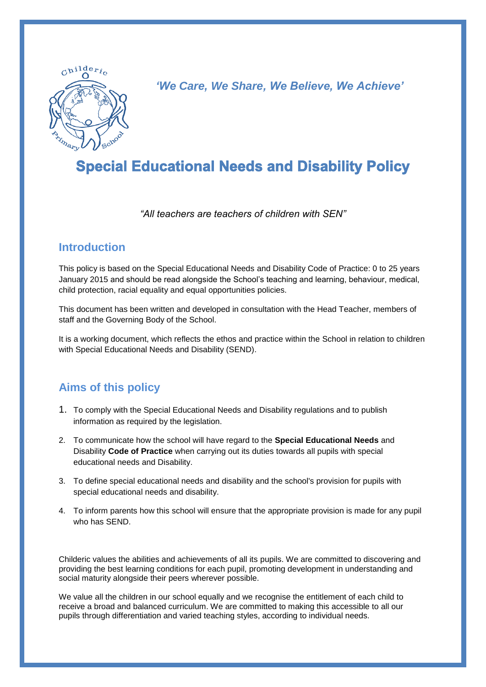

*'We Care, We Share, We Believe, We Achieve'*

# **Special Educational Needs and Disability Policy**

*"All teachers are teachers of children with SEN"*

#### **Introduction**

This policy is based on the Special Educational Needs and Disability Code of Practice: 0 to 25 years January 2015 and should be read alongside the School's teaching and learning, behaviour, medical, child protection, racial equality and equal opportunities policies.

This document has been written and developed in consultation with the Head Teacher, members of staff and the Governing Body of the School.

It is a working document, which reflects the ethos and practice within the School in relation to children with Special Educational Needs and Disability (SEND).

### **Aims of this policy**

- 1. To comply with the Special Educational Needs and Disability regulations and to publish information as required by the legislation.
- 2. To communicate how the school will have regard to the **Special Educational Needs** and Disability **Code of Practice** when carrying out its duties towards all pupils with special educational needs and Disability.
- 3. To define special educational needs and disability and the school's provision for pupils with special educational needs and disability.
- 4. To inform parents how this school will ensure that the appropriate provision is made for any pupil who has SEND.

Childeric values the abilities and achievements of all its pupils. We are committed to discovering and providing the best learning conditions for each pupil, promoting development in understanding and social maturity alongside their peers wherever possible.

We value all the children in our school equally and we recognise the entitlement of each child to receive a broad and balanced curriculum. We are committed to making this accessible to all our pupils through differentiation and varied teaching styles, according to individual needs.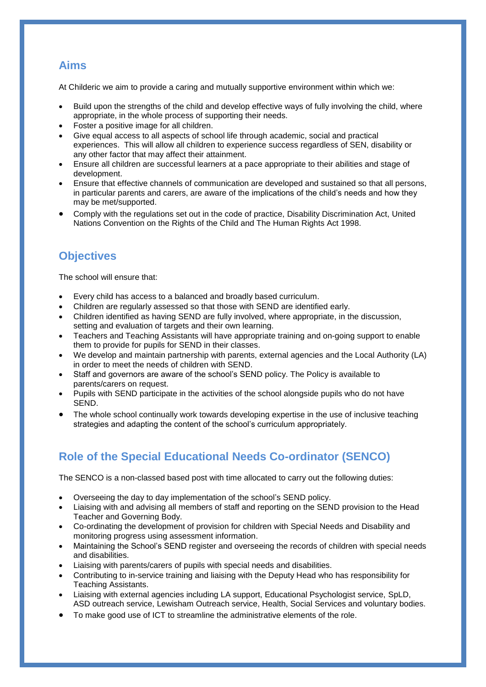### **Aims**

At Childeric we aim to provide a caring and mutually supportive environment within which we:

- Build upon the strengths of the child and develop effective ways of fully involving the child, where appropriate, in the whole process of supporting their needs.
- Foster a positive image for all children.
- Give equal access to all aspects of school life through academic, social and practical experiences. This will allow all children to experience success regardless of SEN, disability or any other factor that may affect their attainment.
- Ensure all children are successful learners at a pace appropriate to their abilities and stage of development.
- Ensure that effective channels of communication are developed and sustained so that all persons, in particular parents and carers, are aware of the implications of the child's needs and how they may be met/supported.
- Comply with the regulations set out in the code of practice, Disability Discrimination Act, United Nations Convention on the Rights of the Child and The Human Rights Act 1998.

### **Objectives**

The school will ensure that:

- Every child has access to a balanced and broadly based curriculum.
- Children are regularly assessed so that those with SEND are identified early.
- Children identified as having SEND are fully involved, where appropriate, in the discussion, setting and evaluation of targets and their own learning.
- Teachers and Teaching Assistants will have appropriate training and on-going support to enable them to provide for pupils for SEND in their classes.
- We develop and maintain partnership with parents, external agencies and the Local Authority (LA) in order to meet the needs of children with SEND.
- Staff and governors are aware of the school's SEND policy. The Policy is available to parents/carers on request.
- Pupils with SEND participate in the activities of the school alongside pupils who do not have SEND.
- The whole school continually work towards developing expertise in the use of inclusive teaching strategies and adapting the content of the school's curriculum appropriately.

# **Role of the Special Educational Needs Co-ordinator (SENCO)**

The SENCO is a non-classed based post with time allocated to carry out the following duties:

- Overseeing the day to day implementation of the school's SEND policy.
- Liaising with and advising all members of staff and reporting on the SEND provision to the Head Teacher and Governing Body.
- Co-ordinating the development of provision for children with Special Needs and Disability and monitoring progress using assessment information.
- Maintaining the School's SEND register and overseeing the records of children with special needs and disabilities.
- Liaising with parents/carers of pupils with special needs and disabilities.
- Contributing to in-service training and liaising with the Deputy Head who has responsibility for Teaching Assistants.
- Liaising with external agencies including LA support, Educational Psychologist service, SpLD, ASD outreach service, Lewisham Outreach service, Health, Social Services and voluntary bodies.
- To make good use of ICT to streamline the administrative elements of the role.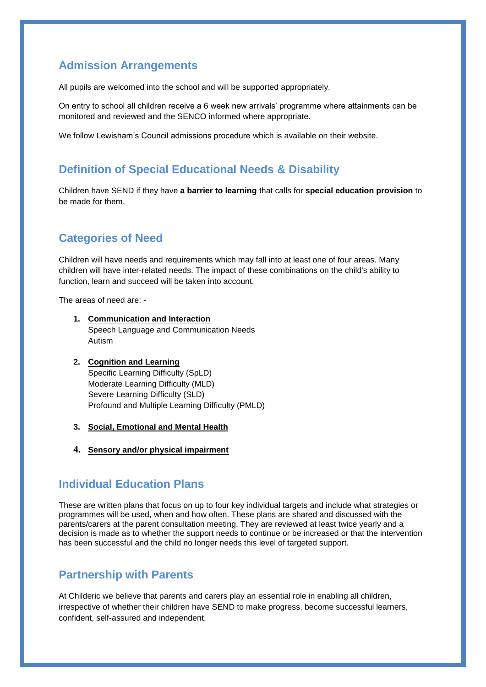### **Admission Arrangements**

All pupils are welcomed into the school and will be supported appropriately.

On entry to school all children receive a 6 week new arrivals' programme where attainments can be monitored and reviewed and the SENCO informed where appropriate.

We follow Lewisham's Council admissions procedure which is available on their website.

#### **Definition of Special Educational Needs & Disability**

Children have SEND if they have **a barrier to learning** that calls for **special education provision** to be made for them.

### **Categories of Need**

Children will have needs and requirements which may fall into at least one of four areas. Many children will have inter-related needs. The impact of these combinations on the child's ability to function, learn and succeed will be taken into account.

The areas of need are: -

- **1. Communication and Interaction** Speech Language and Communication Needs Autism
- **2. Cognition and Learning** Specific Learning Difficulty (SpLD) Moderate Learning Difficulty (MLD) Severe Learning Difficulty (SLD) Profound and Multiple Learning Difficulty (PMLD)
- **3. Social, Emotional and Mental Health**
- **4. Sensory and/or physical impairment**

#### **Individual Education Plans**

These are written plans that focus on up to four key individual targets and include what strategies or programmes will be used, when and how often. These plans are shared and discussed with the parents/carers at the parent consultation meeting. They are reviewed at least twice yearly and a decision is made as to whether the support needs to continue or be increased or that the intervention has been successful and the child no longer needs this level of targeted support.

#### **Partnership with Parents**

At Childeric we believe that parents and carers play an essential role in enabling all children, irrespective of whether their children have SEND to make progress, become successful learners, confident, self-assured and independent.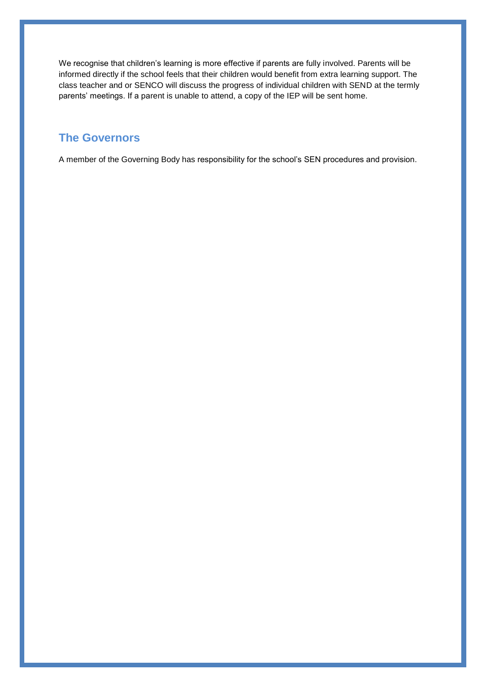We recognise that children's learning is more effective if parents are fully involved. Parents will be informed directly if the school feels that their children would benefit from extra learning support. The class teacher and or SENCO will discuss the progress of individual children with SEND at the termly parents' meetings. If a parent is unable to attend, a copy of the IEP will be sent home.

### **The Governors**

A member of the Governing Body has responsibility for the school's SEN procedures and provision.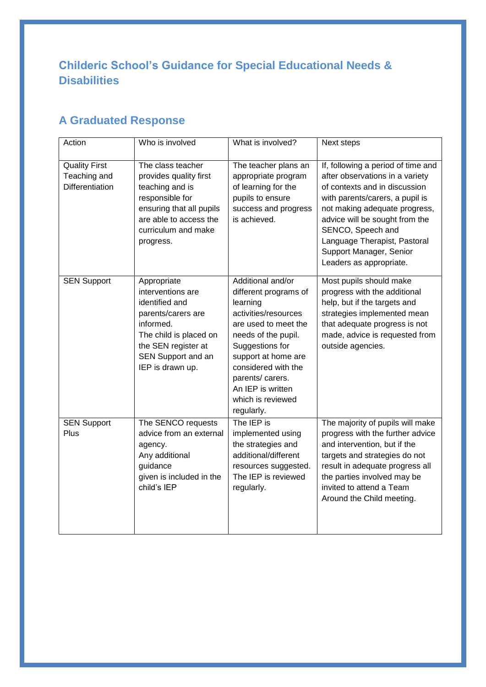# **Childeric School's Guidance for Special Educational Needs & Disabilities**

# **A Graduated Response**

| Action                                                  | Who is involved                                                                                                                                                                  | What is involved?                                                                                                                                                                                                                                                          | Next steps                                                                                                                                                                                                                                                                                                              |
|---------------------------------------------------------|----------------------------------------------------------------------------------------------------------------------------------------------------------------------------------|----------------------------------------------------------------------------------------------------------------------------------------------------------------------------------------------------------------------------------------------------------------------------|-------------------------------------------------------------------------------------------------------------------------------------------------------------------------------------------------------------------------------------------------------------------------------------------------------------------------|
| <b>Quality First</b><br>Teaching and<br>Differentiation | The class teacher<br>provides quality first<br>teaching and is<br>responsible for<br>ensuring that all pupils<br>are able to access the<br>curriculum and make<br>progress.      | The teacher plans an<br>appropriate program<br>of learning for the<br>pupils to ensure<br>success and progress<br>is achieved.                                                                                                                                             | If, following a period of time and<br>after observations in a variety<br>of contexts and in discussion<br>with parents/carers, a pupil is<br>not making adequate progress,<br>advice will be sought from the<br>SENCO, Speech and<br>Language Therapist, Pastoral<br>Support Manager, Senior<br>Leaders as appropriate. |
| <b>SEN Support</b>                                      | Appropriate<br>interventions are<br>identified and<br>parents/carers are<br>informed.<br>The child is placed on<br>the SEN register at<br>SEN Support and an<br>IEP is drawn up. | Additional and/or<br>different programs of<br>learning<br>activities/resources<br>are used to meet the<br>needs of the pupil.<br>Suggestions for<br>support at home are<br>considered with the<br>parents/ carers.<br>An IEP is written<br>which is reviewed<br>regularly. | Most pupils should make<br>progress with the additional<br>help, but if the targets and<br>strategies implemented mean<br>that adequate progress is not<br>made, advice is requested from<br>outside agencies.                                                                                                          |
| <b>SEN Support</b><br>Plus                              | The SENCO requests<br>advice from an external<br>agency.<br>Any additional<br>guidance<br>given is included in the<br>child's IEP                                                | The IEP is<br>implemented using<br>the strategies and<br>additional/different<br>resources suggested.<br>The IEP is reviewed<br>regularly.                                                                                                                                 | The majority of pupils will make<br>progress with the further advice<br>and intervention, but if the<br>targets and strategies do not<br>result in adequate progress all<br>the parties involved may be<br>invited to attend a Team<br>Around the Child meeting.                                                        |